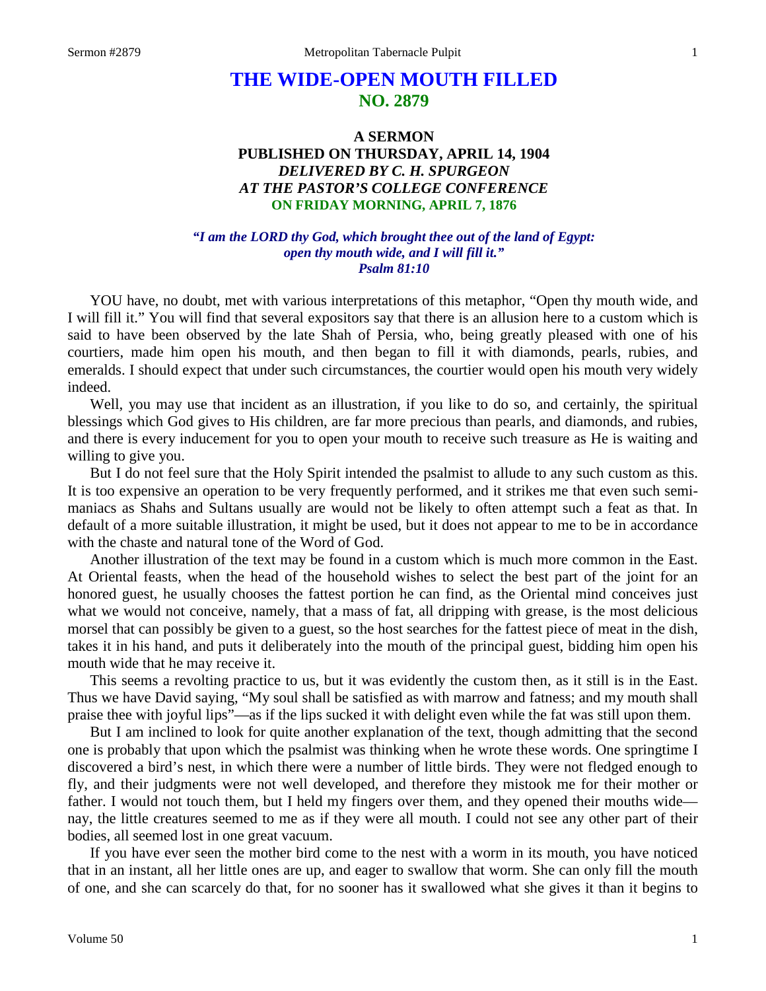## **THE WIDE-OPEN MOUTH FILLED NO. 2879**

## **A SERMON PUBLISHED ON THURSDAY, APRIL 14, 1904** *DELIVERED BY C. H. SPURGEON AT THE PASTOR'S COLLEGE CONFERENCE* **ON FRIDAY MORNING, APRIL 7, 1876**

## *"I am the LORD thy God, which brought thee out of the land of Egypt: open thy mouth wide, and I will fill it." Psalm 81:10*

YOU have, no doubt, met with various interpretations of this metaphor, "Open thy mouth wide, and I will fill it." You will find that several expositors say that there is an allusion here to a custom which is said to have been observed by the late Shah of Persia, who, being greatly pleased with one of his courtiers, made him open his mouth, and then began to fill it with diamonds, pearls, rubies, and emeralds. I should expect that under such circumstances, the courtier would open his mouth very widely indeed.

Well, you may use that incident as an illustration, if you like to do so, and certainly, the spiritual blessings which God gives to His children, are far more precious than pearls, and diamonds, and rubies, and there is every inducement for you to open your mouth to receive such treasure as He is waiting and willing to give you.

But I do not feel sure that the Holy Spirit intended the psalmist to allude to any such custom as this. It is too expensive an operation to be very frequently performed, and it strikes me that even such semimaniacs as Shahs and Sultans usually are would not be likely to often attempt such a feat as that. In default of a more suitable illustration, it might be used, but it does not appear to me to be in accordance with the chaste and natural tone of the Word of God.

Another illustration of the text may be found in a custom which is much more common in the East. At Oriental feasts, when the head of the household wishes to select the best part of the joint for an honored guest, he usually chooses the fattest portion he can find, as the Oriental mind conceives just what we would not conceive, namely, that a mass of fat, all dripping with grease, is the most delicious morsel that can possibly be given to a guest, so the host searches for the fattest piece of meat in the dish, takes it in his hand, and puts it deliberately into the mouth of the principal guest, bidding him open his mouth wide that he may receive it.

This seems a revolting practice to us, but it was evidently the custom then, as it still is in the East. Thus we have David saying, "My soul shall be satisfied as with marrow and fatness; and my mouth shall praise thee with joyful lips"—as if the lips sucked it with delight even while the fat was still upon them.

But I am inclined to look for quite another explanation of the text, though admitting that the second one is probably that upon which the psalmist was thinking when he wrote these words. One springtime I discovered a bird's nest, in which there were a number of little birds. They were not fledged enough to fly, and their judgments were not well developed, and therefore they mistook me for their mother or father. I would not touch them, but I held my fingers over them, and they opened their mouths wide nay, the little creatures seemed to me as if they were all mouth. I could not see any other part of their bodies, all seemed lost in one great vacuum.

If you have ever seen the mother bird come to the nest with a worm in its mouth, you have noticed that in an instant, all her little ones are up, and eager to swallow that worm. She can only fill the mouth of one, and she can scarcely do that, for no sooner has it swallowed what she gives it than it begins to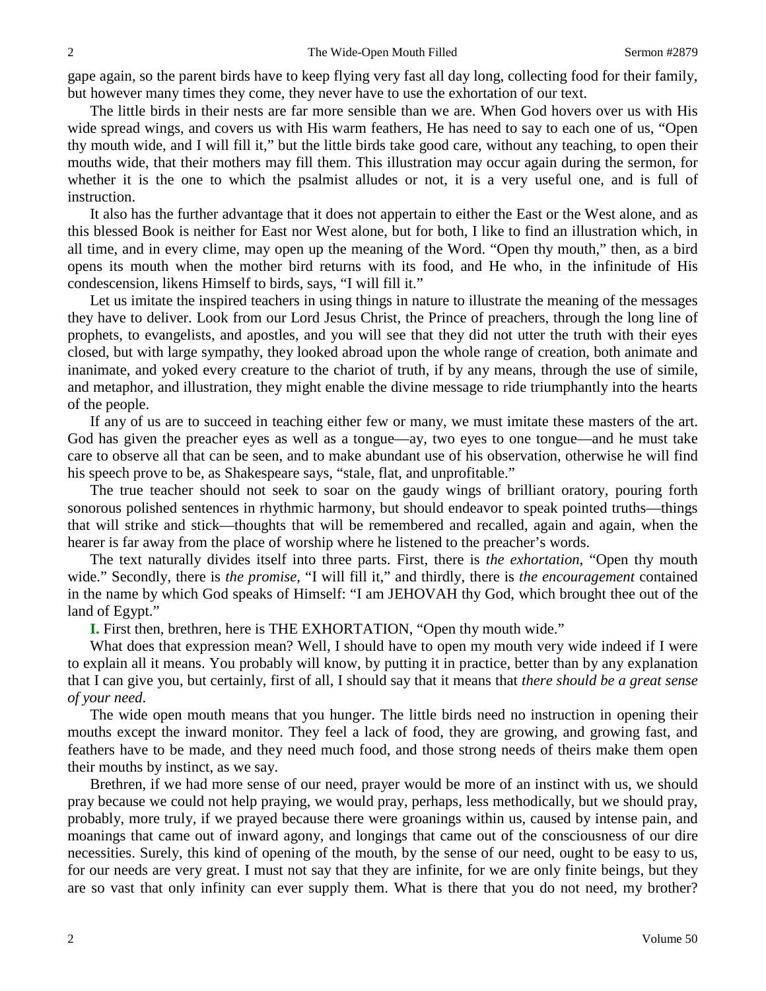gape again, so the parent birds have to keep flying very fast all day long, collecting food for their family, but however many times they come, they never have to use the exhortation of our text.

The little birds in their nests are far more sensible than we are. When God hovers over us with His wide spread wings, and covers us with His warm feathers, He has need to say to each one of us, "Open thy mouth wide, and I will fill it," but the little birds take good care, without any teaching, to open their mouths wide, that their mothers may fill them. This illustration may occur again during the sermon, for whether it is the one to which the psalmist alludes or not, it is a very useful one, and is full of instruction.

It also has the further advantage that it does not appertain to either the East or the West alone, and as this blessed Book is neither for East nor West alone, but for both, I like to find an illustration which, in all time, and in every clime, may open up the meaning of the Word. "Open thy mouth," then, as a bird opens its mouth when the mother bird returns with its food, and He who, in the infinitude of His condescension, likens Himself to birds, says, "I will fill it."

Let us imitate the inspired teachers in using things in nature to illustrate the meaning of the messages they have to deliver. Look from our Lord Jesus Christ, the Prince of preachers, through the long line of prophets, to evangelists, and apostles, and you will see that they did not utter the truth with their eyes closed, but with large sympathy, they looked abroad upon the whole range of creation, both animate and inanimate, and yoked every creature to the chariot of truth, if by any means, through the use of simile, and metaphor, and illustration, they might enable the divine message to ride triumphantly into the hearts of the people.

If any of us are to succeed in teaching either few or many, we must imitate these masters of the art. God has given the preacher eyes as well as a tongue—ay, two eyes to one tongue—and he must take care to observe all that can be seen, and to make abundant use of his observation, otherwise he will find his speech prove to be, as Shakespeare says, "stale, flat, and unprofitable."

The true teacher should not seek to soar on the gaudy wings of brilliant oratory, pouring forth sonorous polished sentences in rhythmic harmony, but should endeavor to speak pointed truths—things that will strike and stick—thoughts that will be remembered and recalled, again and again, when the hearer is far away from the place of worship where he listened to the preacher's words.

The text naturally divides itself into three parts. First, there is *the exhortation,* "Open thy mouth wide." Secondly, there is *the promise,* "I will fill it," and thirdly, there is *the encouragement* contained in the name by which God speaks of Himself: "I am JEHOVAH thy God, which brought thee out of the land of Egypt."

**I.** First then, brethren, here is THE EXHORTATION, "Open thy mouth wide."

What does that expression mean? Well, I should have to open my mouth very wide indeed if I were to explain all it means. You probably will know, by putting it in practice, better than by any explanation that I can give you, but certainly, first of all, I should say that it means that *there should be a great sense of your need*.

The wide open mouth means that you hunger. The little birds need no instruction in opening their mouths except the inward monitor. They feel a lack of food, they are growing, and growing fast, and feathers have to be made, and they need much food, and those strong needs of theirs make them open their mouths by instinct, as we say.

Brethren, if we had more sense of our need, prayer would be more of an instinct with us, we should pray because we could not help praying, we would pray, perhaps, less methodically, but we should pray, probably, more truly, if we prayed because there were groanings within us, caused by intense pain, and moanings that came out of inward agony, and longings that came out of the consciousness of our dire necessities. Surely, this kind of opening of the mouth, by the sense of our need, ought to be easy to us, for our needs are very great. I must not say that they are infinite, for we are only finite beings, but they are so vast that only infinity can ever supply them. What is there that you do not need, my brother?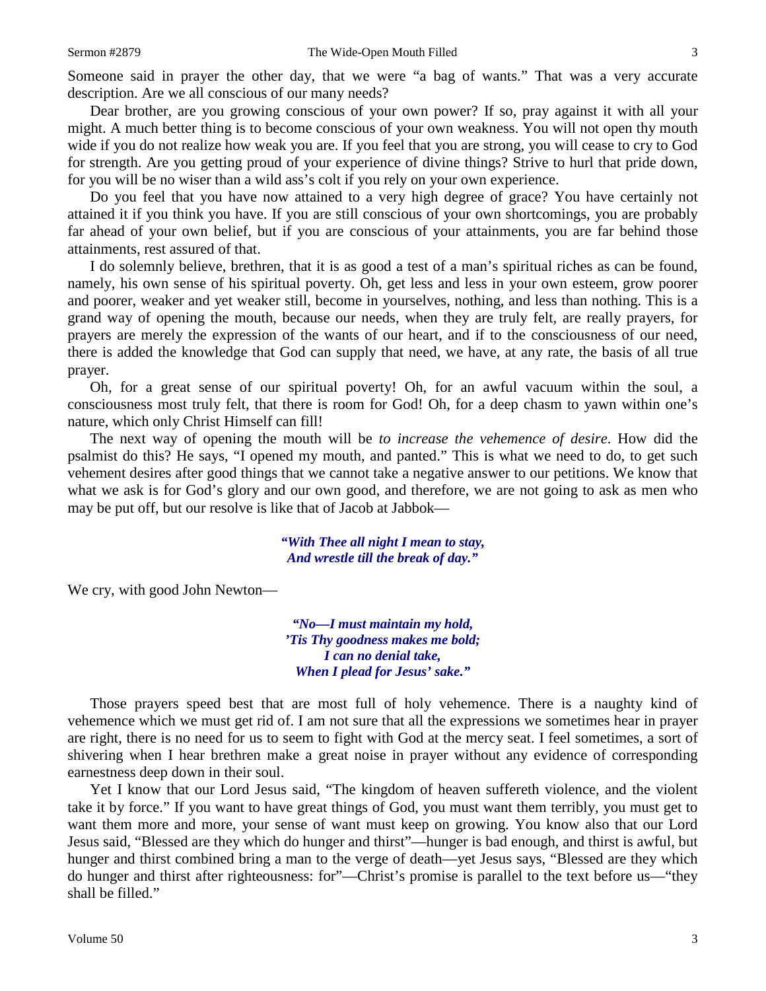Someone said in prayer the other day, that we were "a bag of wants." That was a very accurate description. Are we all conscious of our many needs?

Dear brother, are you growing conscious of your own power? If so, pray against it with all your might. A much better thing is to become conscious of your own weakness. You will not open thy mouth wide if you do not realize how weak you are. If you feel that you are strong, you will cease to cry to God for strength. Are you getting proud of your experience of divine things? Strive to hurl that pride down, for you will be no wiser than a wild ass's colt if you rely on your own experience.

Do you feel that you have now attained to a very high degree of grace? You have certainly not attained it if you think you have. If you are still conscious of your own shortcomings, you are probably far ahead of your own belief, but if you are conscious of your attainments, you are far behind those attainments, rest assured of that.

I do solemnly believe, brethren, that it is as good a test of a man's spiritual riches as can be found, namely, his own sense of his spiritual poverty. Oh, get less and less in your own esteem, grow poorer and poorer, weaker and yet weaker still, become in yourselves, nothing, and less than nothing. This is a grand way of opening the mouth, because our needs, when they are truly felt, are really prayers, for prayers are merely the expression of the wants of our heart, and if to the consciousness of our need, there is added the knowledge that God can supply that need, we have, at any rate, the basis of all true prayer.

Oh, for a great sense of our spiritual poverty! Oh, for an awful vacuum within the soul, a consciousness most truly felt, that there is room for God! Oh, for a deep chasm to yawn within one's nature, which only Christ Himself can fill!

The next way of opening the mouth will be *to increase the vehemence of desire*. How did the psalmist do this? He says, "I opened my mouth, and panted." This is what we need to do, to get such vehement desires after good things that we cannot take a negative answer to our petitions. We know that what we ask is for God's glory and our own good, and therefore, we are not going to ask as men who may be put off, but our resolve is like that of Jacob at Jabbok—

> *"With Thee all night I mean to stay, And wrestle till the break of day."*

We cry, with good John Newton—

*"No—I must maintain my hold, 'Tis Thy goodness makes me bold; I can no denial take, When I plead for Jesus' sake."*

Those prayers speed best that are most full of holy vehemence. There is a naughty kind of vehemence which we must get rid of. I am not sure that all the expressions we sometimes hear in prayer are right, there is no need for us to seem to fight with God at the mercy seat. I feel sometimes, a sort of shivering when I hear brethren make a great noise in prayer without any evidence of corresponding earnestness deep down in their soul.

Yet I know that our Lord Jesus said, "The kingdom of heaven suffereth violence, and the violent take it by force." If you want to have great things of God, you must want them terribly, you must get to want them more and more, your sense of want must keep on growing. You know also that our Lord Jesus said, "Blessed are they which do hunger and thirst"—hunger is bad enough, and thirst is awful, but hunger and thirst combined bring a man to the verge of death—yet Jesus says, "Blessed are they which do hunger and thirst after righteousness: for"—Christ's promise is parallel to the text before us—"they shall be filled."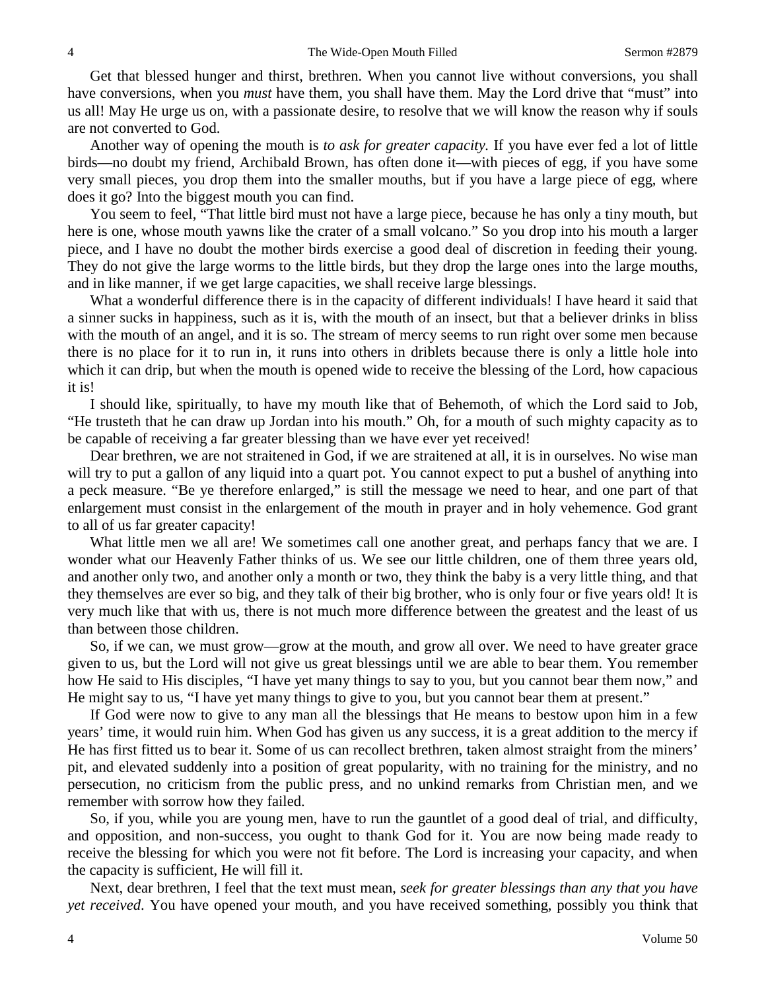Get that blessed hunger and thirst, brethren. When you cannot live without conversions, you shall have conversions, when you *must* have them, you shall have them. May the Lord drive that "must" into us all! May He urge us on, with a passionate desire, to resolve that we will know the reason why if souls are not converted to God.

Another way of opening the mouth is *to ask for greater capacity.* If you have ever fed a lot of little birds—no doubt my friend, Archibald Brown, has often done it—with pieces of egg, if you have some very small pieces, you drop them into the smaller mouths, but if you have a large piece of egg, where does it go? Into the biggest mouth you can find.

You seem to feel, "That little bird must not have a large piece, because he has only a tiny mouth, but here is one, whose mouth yawns like the crater of a small volcano." So you drop into his mouth a larger piece, and I have no doubt the mother birds exercise a good deal of discretion in feeding their young. They do not give the large worms to the little birds, but they drop the large ones into the large mouths, and in like manner, if we get large capacities, we shall receive large blessings.

What a wonderful difference there is in the capacity of different individuals! I have heard it said that a sinner sucks in happiness, such as it is, with the mouth of an insect, but that a believer drinks in bliss with the mouth of an angel, and it is so. The stream of mercy seems to run right over some men because there is no place for it to run in, it runs into others in driblets because there is only a little hole into which it can drip, but when the mouth is opened wide to receive the blessing of the Lord, how capacious it is!

I should like, spiritually, to have my mouth like that of Behemoth, of which the Lord said to Job, "He trusteth that he can draw up Jordan into his mouth." Oh, for a mouth of such mighty capacity as to be capable of receiving a far greater blessing than we have ever yet received!

Dear brethren, we are not straitened in God, if we are straitened at all, it is in ourselves. No wise man will try to put a gallon of any liquid into a quart pot. You cannot expect to put a bushel of anything into a peck measure. "Be ye therefore enlarged," is still the message we need to hear, and one part of that enlargement must consist in the enlargement of the mouth in prayer and in holy vehemence. God grant to all of us far greater capacity!

What little men we all are! We sometimes call one another great, and perhaps fancy that we are. I wonder what our Heavenly Father thinks of us. We see our little children, one of them three years old, and another only two, and another only a month or two, they think the baby is a very little thing, and that they themselves are ever so big, and they talk of their big brother, who is only four or five years old! It is very much like that with us, there is not much more difference between the greatest and the least of us than between those children.

So, if we can, we must grow—grow at the mouth, and grow all over. We need to have greater grace given to us, but the Lord will not give us great blessings until we are able to bear them. You remember how He said to His disciples, "I have yet many things to say to you, but you cannot bear them now," and He might say to us, "I have yet many things to give to you, but you cannot bear them at present."

If God were now to give to any man all the blessings that He means to bestow upon him in a few years' time, it would ruin him. When God has given us any success, it is a great addition to the mercy if He has first fitted us to bear it. Some of us can recollect brethren, taken almost straight from the miners' pit, and elevated suddenly into a position of great popularity, with no training for the ministry, and no persecution, no criticism from the public press, and no unkind remarks from Christian men, and we remember with sorrow how they failed.

So, if you, while you are young men, have to run the gauntlet of a good deal of trial, and difficulty, and opposition, and non-success, you ought to thank God for it. You are now being made ready to receive the blessing for which you were not fit before. The Lord is increasing your capacity, and when the capacity is sufficient, He will fill it.

Next, dear brethren, I feel that the text must mean, *seek for greater blessings than any that you have yet received*. You have opened your mouth, and you have received something, possibly you think that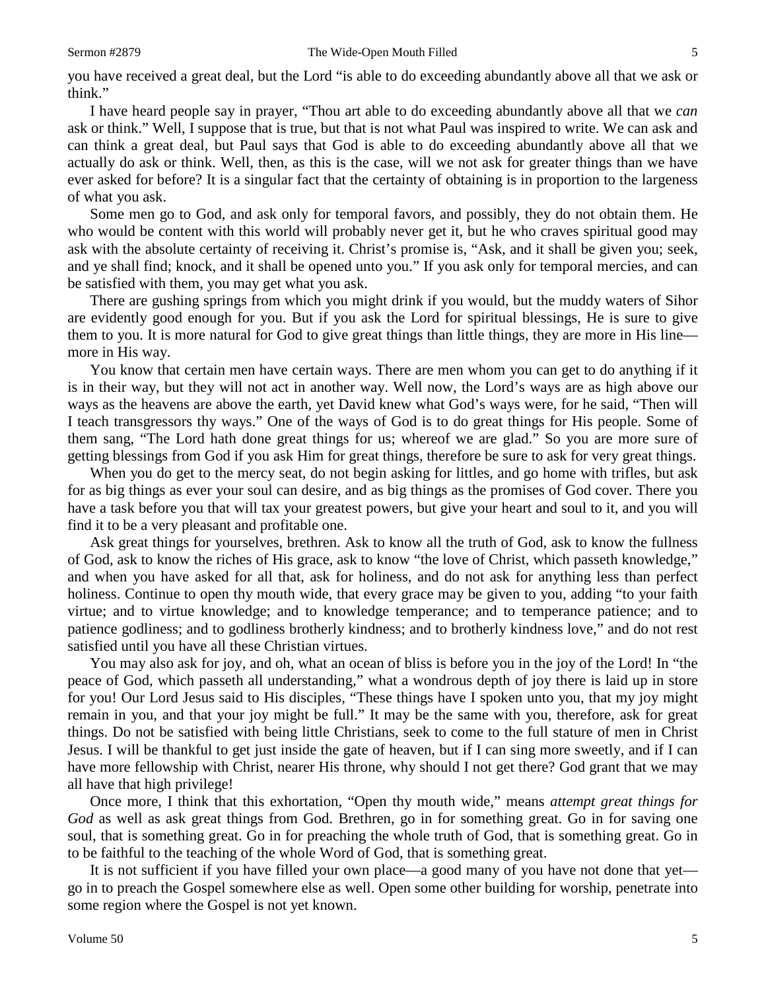you have received a great deal, but the Lord "is able to do exceeding abundantly above all that we ask or think."

I have heard people say in prayer, "Thou art able to do exceeding abundantly above all that we *can*  ask or think." Well, I suppose that is true, but that is not what Paul was inspired to write. We can ask and can think a great deal, but Paul says that God is able to do exceeding abundantly above all that we actually do ask or think. Well, then, as this is the case, will we not ask for greater things than we have ever asked for before? It is a singular fact that the certainty of obtaining is in proportion to the largeness of what you ask.

Some men go to God, and ask only for temporal favors, and possibly, they do not obtain them. He who would be content with this world will probably never get it, but he who craves spiritual good may ask with the absolute certainty of receiving it. Christ's promise is, "Ask, and it shall be given you; seek, and ye shall find; knock, and it shall be opened unto you." If you ask only for temporal mercies, and can be satisfied with them, you may get what you ask.

There are gushing springs from which you might drink if you would, but the muddy waters of Sihor are evidently good enough for you. But if you ask the Lord for spiritual blessings, He is sure to give them to you. It is more natural for God to give great things than little things, they are more in His line more in His way.

You know that certain men have certain ways. There are men whom you can get to do anything if it is in their way, but they will not act in another way. Well now, the Lord's ways are as high above our ways as the heavens are above the earth, yet David knew what God's ways were, for he said, "Then will I teach transgressors thy ways." One of the ways of God is to do great things for His people. Some of them sang, "The Lord hath done great things for us; whereof we are glad." So you are more sure of getting blessings from God if you ask Him for great things, therefore be sure to ask for very great things.

When you do get to the mercy seat, do not begin asking for littles, and go home with trifles, but ask for as big things as ever your soul can desire, and as big things as the promises of God cover. There you have a task before you that will tax your greatest powers, but give your heart and soul to it, and you will find it to be a very pleasant and profitable one.

Ask great things for yourselves, brethren. Ask to know all the truth of God, ask to know the fullness of God, ask to know the riches of His grace, ask to know "the love of Christ, which passeth knowledge," and when you have asked for all that, ask for holiness, and do not ask for anything less than perfect holiness. Continue to open thy mouth wide, that every grace may be given to you, adding "to your faith virtue; and to virtue knowledge; and to knowledge temperance; and to temperance patience; and to patience godliness; and to godliness brotherly kindness; and to brotherly kindness love," and do not rest satisfied until you have all these Christian virtues.

You may also ask for joy, and oh, what an ocean of bliss is before you in the joy of the Lord! In "the peace of God, which passeth all understanding," what a wondrous depth of joy there is laid up in store for you! Our Lord Jesus said to His disciples, "These things have I spoken unto you, that my joy might remain in you, and that your joy might be full." It may be the same with you, therefore, ask for great things. Do not be satisfied with being little Christians, seek to come to the full stature of men in Christ Jesus. I will be thankful to get just inside the gate of heaven, but if I can sing more sweetly, and if I can have more fellowship with Christ, nearer His throne, why should I not get there? God grant that we may all have that high privilege!

Once more, I think that this exhortation, "Open thy mouth wide," means *attempt great things for*  God as well as ask great things from God. Brethren, go in for something great. Go in for saving one soul, that is something great. Go in for preaching the whole truth of God, that is something great. Go in to be faithful to the teaching of the whole Word of God, that is something great.

It is not sufficient if you have filled your own place—a good many of you have not done that yet go in to preach the Gospel somewhere else as well. Open some other building for worship, penetrate into some region where the Gospel is not yet known.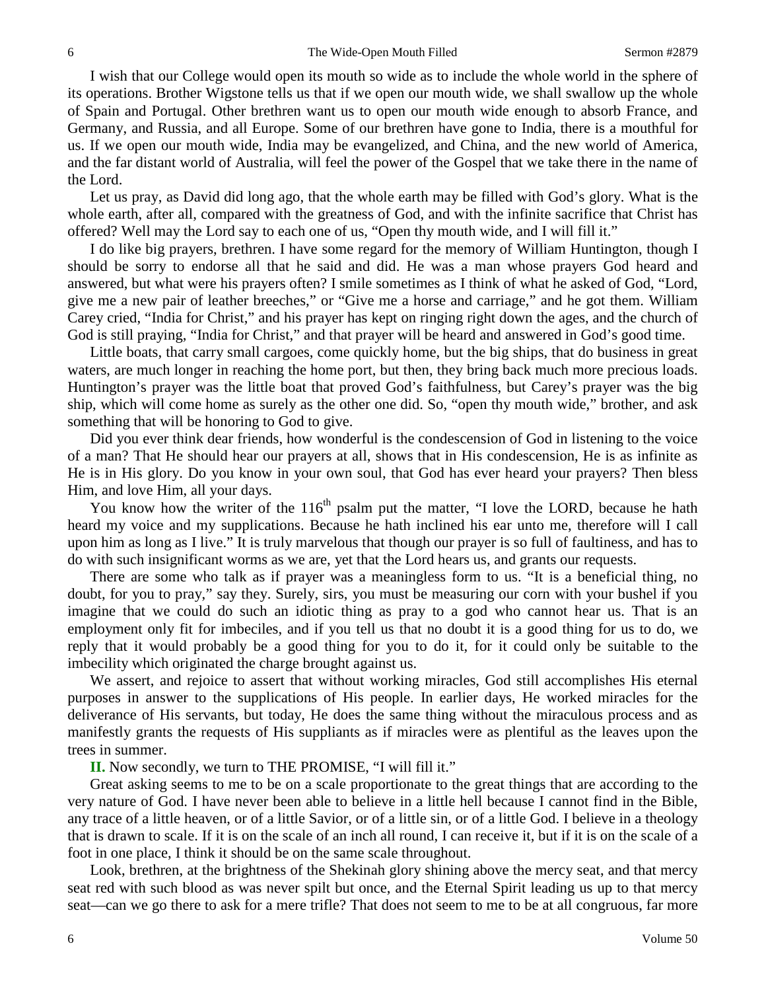I wish that our College would open its mouth so wide as to include the whole world in the sphere of its operations. Brother Wigstone tells us that if we open our mouth wide, we shall swallow up the whole of Spain and Portugal. Other brethren want us to open our mouth wide enough to absorb France, and Germany, and Russia, and all Europe. Some of our brethren have gone to India, there is a mouthful for us. If we open our mouth wide, India may be evangelized, and China, and the new world of America, and the far distant world of Australia, will feel the power of the Gospel that we take there in the name of the Lord.

Let us pray, as David did long ago, that the whole earth may be filled with God's glory. What is the whole earth, after all, compared with the greatness of God, and with the infinite sacrifice that Christ has offered? Well may the Lord say to each one of us, "Open thy mouth wide, and I will fill it."

I do like big prayers, brethren. I have some regard for the memory of William Huntington, though I should be sorry to endorse all that he said and did. He was a man whose prayers God heard and answered, but what were his prayers often? I smile sometimes as I think of what he asked of God, "Lord, give me a new pair of leather breeches," or "Give me a horse and carriage," and he got them. William Carey cried, "India for Christ," and his prayer has kept on ringing right down the ages, and the church of God is still praying, "India for Christ," and that prayer will be heard and answered in God's good time.

Little boats, that carry small cargoes, come quickly home, but the big ships, that do business in great waters, are much longer in reaching the home port, but then, they bring back much more precious loads. Huntington's prayer was the little boat that proved God's faithfulness, but Carey's prayer was the big ship, which will come home as surely as the other one did. So, "open thy mouth wide," brother, and ask something that will be honoring to God to give.

Did you ever think dear friends, how wonderful is the condescension of God in listening to the voice of a man? That He should hear our prayers at all, shows that in His condescension, He is as infinite as He is in His glory. Do you know in your own soul, that God has ever heard your prayers? Then bless Him, and love Him, all your days.

You know how the writer of the  $116<sup>th</sup>$  psalm put the matter, "I love the LORD, because he hath heard my voice and my supplications. Because he hath inclined his ear unto me, therefore will I call upon him as long as I live." It is truly marvelous that though our prayer is so full of faultiness, and has to do with such insignificant worms as we are, yet that the Lord hears us, and grants our requests.

There are some who talk as if prayer was a meaningless form to us. "It is a beneficial thing, no doubt, for you to pray," say they. Surely, sirs, you must be measuring our corn with your bushel if you imagine that we could do such an idiotic thing as pray to a god who cannot hear us. That is an employment only fit for imbeciles, and if you tell us that no doubt it is a good thing for us to do, we reply that it would probably be a good thing for you to do it, for it could only be suitable to the imbecility which originated the charge brought against us.

We assert, and rejoice to assert that without working miracles, God still accomplishes His eternal purposes in answer to the supplications of His people. In earlier days, He worked miracles for the deliverance of His servants, but today, He does the same thing without the miraculous process and as manifestly grants the requests of His suppliants as if miracles were as plentiful as the leaves upon the trees in summer.

**II.** Now secondly, we turn to THE PROMISE, "I will fill it."

Great asking seems to me to be on a scale proportionate to the great things that are according to the very nature of God. I have never been able to believe in a little hell because I cannot find in the Bible, any trace of a little heaven, or of a little Savior, or of a little sin, or of a little God. I believe in a theology that is drawn to scale. If it is on the scale of an inch all round, I can receive it, but if it is on the scale of a foot in one place, I think it should be on the same scale throughout.

Look, brethren, at the brightness of the Shekinah glory shining above the mercy seat, and that mercy seat red with such blood as was never spilt but once, and the Eternal Spirit leading us up to that mercy seat—can we go there to ask for a mere trifle? That does not seem to me to be at all congruous, far more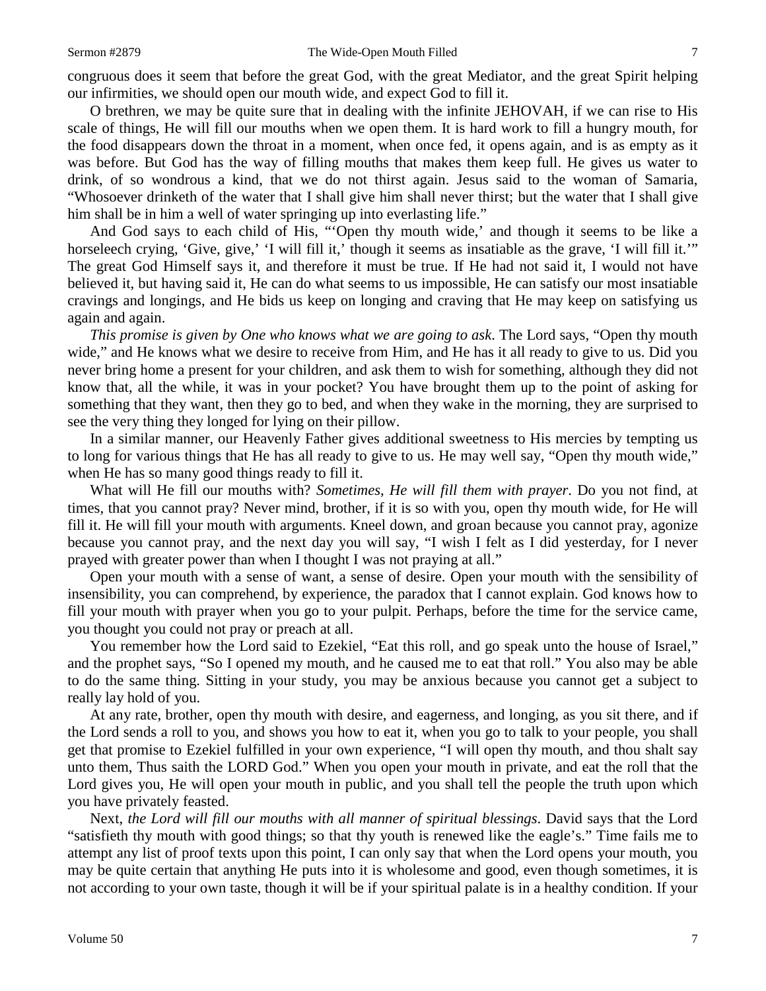O brethren, we may be quite sure that in dealing with the infinite JEHOVAH, if we can rise to His scale of things, He will fill our mouths when we open them. It is hard work to fill a hungry mouth, for the food disappears down the throat in a moment, when once fed, it opens again, and is as empty as it was before. But God has the way of filling mouths that makes them keep full. He gives us water to drink, of so wondrous a kind, that we do not thirst again. Jesus said to the woman of Samaria, "Whosoever drinketh of the water that I shall give him shall never thirst; but the water that I shall give him shall be in him a well of water springing up into everlasting life."

And God says to each child of His, "'Open thy mouth wide,' and though it seems to be like a horseleech crying, 'Give, give,' 'I will fill it,' though it seems as insatiable as the grave, 'I will fill it.'" The great God Himself says it, and therefore it must be true. If He had not said it, I would not have believed it, but having said it, He can do what seems to us impossible, He can satisfy our most insatiable cravings and longings, and He bids us keep on longing and craving that He may keep on satisfying us again and again.

*This promise is given by One who knows what we are going to ask*. The Lord says, "Open thy mouth wide," and He knows what we desire to receive from Him, and He has it all ready to give to us. Did you never bring home a present for your children, and ask them to wish for something, although they did not know that, all the while, it was in your pocket? You have brought them up to the point of asking for something that they want, then they go to bed, and when they wake in the morning, they are surprised to see the very thing they longed for lying on their pillow.

In a similar manner, our Heavenly Father gives additional sweetness to His mercies by tempting us to long for various things that He has all ready to give to us. He may well say, "Open thy mouth wide," when He has so many good things ready to fill it.

What will He fill our mouths with? *Sometimes, He will fill them with prayer*. Do you not find, at times, that you cannot pray? Never mind, brother, if it is so with you, open thy mouth wide, for He will fill it. He will fill your mouth with arguments. Kneel down, and groan because you cannot pray, agonize because you cannot pray, and the next day you will say, "I wish I felt as I did yesterday, for I never prayed with greater power than when I thought I was not praying at all."

Open your mouth with a sense of want, a sense of desire. Open your mouth with the sensibility of insensibility, you can comprehend, by experience, the paradox that I cannot explain. God knows how to fill your mouth with prayer when you go to your pulpit. Perhaps, before the time for the service came, you thought you could not pray or preach at all.

You remember how the Lord said to Ezekiel, "Eat this roll, and go speak unto the house of Israel," and the prophet says, "So I opened my mouth, and he caused me to eat that roll." You also may be able to do the same thing. Sitting in your study, you may be anxious because you cannot get a subject to really lay hold of you.

At any rate, brother, open thy mouth with desire, and eagerness, and longing, as you sit there, and if the Lord sends a roll to you, and shows you how to eat it, when you go to talk to your people, you shall get that promise to Ezekiel fulfilled in your own experience, "I will open thy mouth, and thou shalt say unto them, Thus saith the LORD God." When you open your mouth in private, and eat the roll that the Lord gives you, He will open your mouth in public, and you shall tell the people the truth upon which you have privately feasted.

Next, *the Lord will fill our mouths with all manner of spiritual blessings*. David says that the Lord "satisfieth thy mouth with good things; so that thy youth is renewed like the eagle's." Time fails me to attempt any list of proof texts upon this point, I can only say that when the Lord opens your mouth, you may be quite certain that anything He puts into it is wholesome and good, even though sometimes, it is not according to your own taste, though it will be if your spiritual palate is in a healthy condition. If your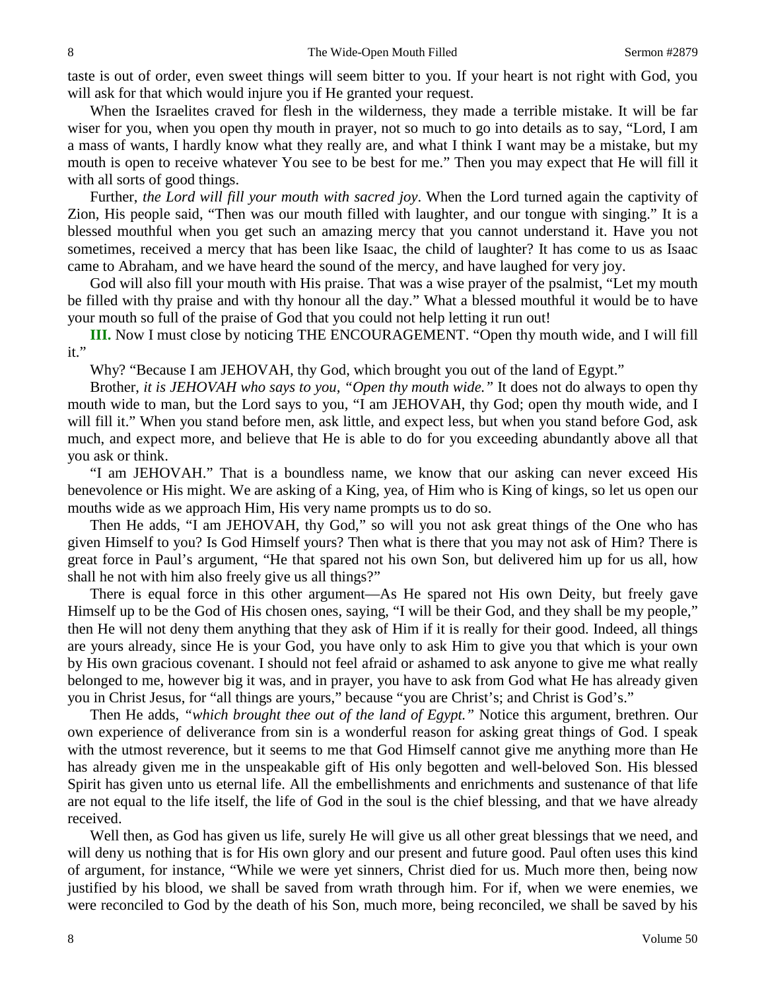taste is out of order, even sweet things will seem bitter to you. If your heart is not right with God, you will ask for that which would injure you if He granted your request.

When the Israelites craved for flesh in the wilderness, they made a terrible mistake. It will be far wiser for you, when you open thy mouth in prayer, not so much to go into details as to say, "Lord, I am a mass of wants, I hardly know what they really are, and what I think I want may be a mistake, but my mouth is open to receive whatever You see to be best for me." Then you may expect that He will fill it with all sorts of good things.

Further, *the Lord will fill your mouth with sacred joy*. When the Lord turned again the captivity of Zion, His people said, "Then was our mouth filled with laughter, and our tongue with singing." It is a blessed mouthful when you get such an amazing mercy that you cannot understand it. Have you not sometimes, received a mercy that has been like Isaac, the child of laughter? It has come to us as Isaac came to Abraham, and we have heard the sound of the mercy, and have laughed for very joy.

God will also fill your mouth with His praise. That was a wise prayer of the psalmist, "Let my mouth be filled with thy praise and with thy honour all the day." What a blessed mouthful it would be to have your mouth so full of the praise of God that you could not help letting it run out!

**III.** Now I must close by noticing THE ENCOURAGEMENT. "Open thy mouth wide, and I will fill it."

Why? "Because I am JEHOVAH, thy God, which brought you out of the land of Egypt."

Brother, *it is JEHOVAH who says to you, "Open thy mouth wide."* It does not do always to open thy mouth wide to man, but the Lord says to you, "I am JEHOVAH, thy God; open thy mouth wide, and I will fill it." When you stand before men, ask little, and expect less, but when you stand before God, ask much, and expect more, and believe that He is able to do for you exceeding abundantly above all that you ask or think.

"I am JEHOVAH." That is a boundless name, we know that our asking can never exceed His benevolence or His might. We are asking of a King, yea, of Him who is King of kings, so let us open our mouths wide as we approach Him, His very name prompts us to do so.

Then He adds, "I am JEHOVAH, thy God," so will you not ask great things of the One who has given Himself to you? Is God Himself yours? Then what is there that you may not ask of Him? There is great force in Paul's argument, "He that spared not his own Son, but delivered him up for us all, how shall he not with him also freely give us all things?"

There is equal force in this other argument—As He spared not His own Deity, but freely gave Himself up to be the God of His chosen ones, saying, "I will be their God, and they shall be my people," then He will not deny them anything that they ask of Him if it is really for their good. Indeed, all things are yours already, since He is your God, you have only to ask Him to give you that which is your own by His own gracious covenant. I should not feel afraid or ashamed to ask anyone to give me what really belonged to me, however big it was, and in prayer, you have to ask from God what He has already given you in Christ Jesus, for "all things are yours," because "you are Christ's; and Christ is God's."

Then He adds, *"which brought thee out of the land of Egypt."* Notice this argument, brethren. Our own experience of deliverance from sin is a wonderful reason for asking great things of God. I speak with the utmost reverence, but it seems to me that God Himself cannot give me anything more than He has already given me in the unspeakable gift of His only begotten and well-beloved Son. His blessed Spirit has given unto us eternal life. All the embellishments and enrichments and sustenance of that life are not equal to the life itself, the life of God in the soul is the chief blessing, and that we have already received.

Well then, as God has given us life, surely He will give us all other great blessings that we need, and will deny us nothing that is for His own glory and our present and future good. Paul often uses this kind of argument, for instance, "While we were yet sinners, Christ died for us. Much more then, being now justified by his blood, we shall be saved from wrath through him. For if, when we were enemies, we were reconciled to God by the death of his Son, much more, being reconciled, we shall be saved by his